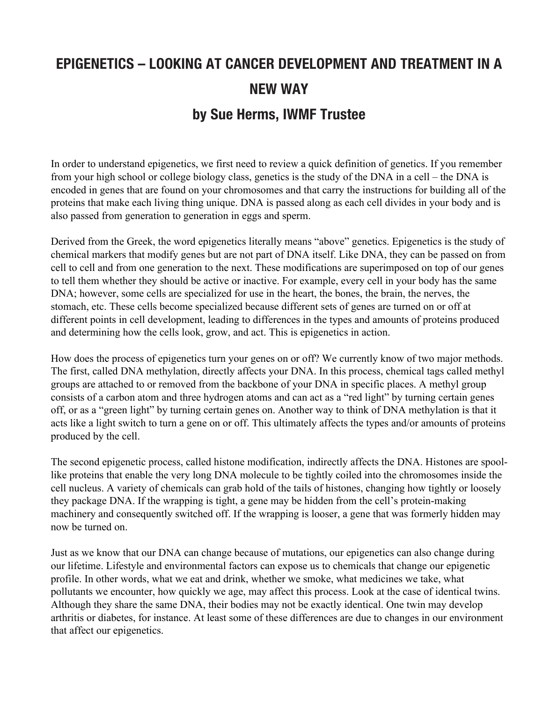## **EPIGENETICS – LOOKING AT CANCER DEVELOPMENT AND TREATMENT IN A NEW WAY by Sue Herms, IWMF Trustee**

In order to understand epigenetics, we first need to review a quick definition of genetics. If you remember from your high school or college biology class, genetics is the study of the DNA in a cell – the DNA is encoded in genes that are found on your chromosomes and that carry the instructions for building all of the proteins that make each living thing unique. DNA is passed along as each cell divides in your body and is also passed from generation to generation in eggs and sperm.

Derived from the Greek, the word epigenetics literally means "above" genetics. Epigenetics is the study of chemical markers that modify genes but are not part of DNA itself. Like DNA, they can be passed on from cell to cell and from one generation to the next. These modifications are superimposed on top of our genes to tell them whether they should be active or inactive. For example, every cell in your body has the same DNA; however, some cells are specialized for use in the heart, the bones, the brain, the nerves, the stomach, etc. These cells become specialized because different sets of genes are turned on or off at different points in cell development, leading to differences in the types and amounts of proteins produced and determining how the cells look, grow, and act. This is epigenetics in action.

How does the process of epigenetics turn your genes on or off? We currently know of two major methods. The first, called DNA methylation, directly affects your DNA. In this process, chemical tags called methyl groups are attached to or removed from the backbone of your DNA in specific places. A methyl group consists of a carbon atom and three hydrogen atoms and can act as a "red light" by turning certain genes off, or as a "green light" by turning certain genes on. Another way to think of DNA methylation is that it acts like a light switch to turn a gene on or off. This ultimately affects the types and/or amounts of proteins produced by the cell.

The second epigenetic process, called histone modification, indirectly affects the DNA. Histones are spoollike proteins that enable the very long DNA molecule to be tightly coiled into the chromosomes inside the cell nucleus. A variety of chemicals can grab hold of the tails of histones, changing how tightly or loosely they package DNA. If the wrapping is tight, a gene may be hidden from the cell's protein-making machinery and consequently switched off. If the wrapping is looser, a gene that was formerly hidden may now be turned on.

Just as we know that our DNA can change because of mutations, our epigenetics can also change during our lifetime. Lifestyle and environmental factors can expose us to chemicals that change our epigenetic profile. In other words, what we eat and drink, whether we smoke, what medicines we take, what pollutants we encounter, how quickly we age, may affect this process. Look at the case of identical twins. Although they share the same DNA, their bodies may not be exactly identical. One twin may develop arthritis or diabetes, for instance. At least some of these differences are due to changes in our environment that affect our epigenetics.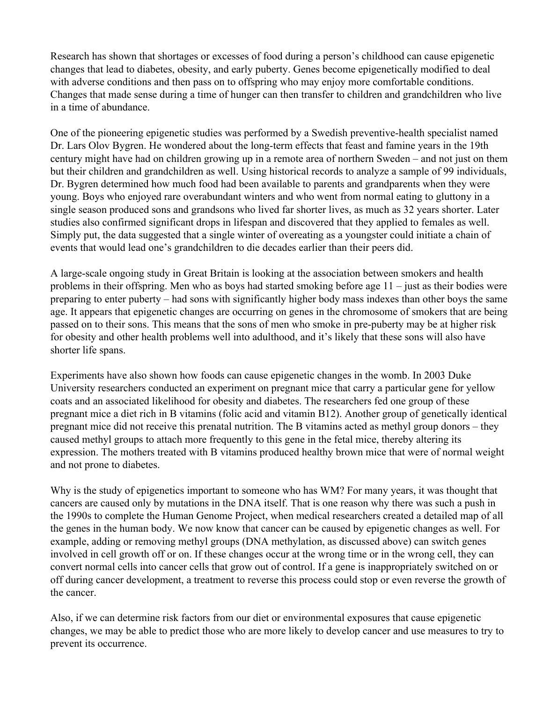Research has shown that shortages or excesses of food during a person's childhood can cause epigenetic changes that lead to diabetes, obesity, and early puberty. Genes become epigenetically modified to deal with adverse conditions and then pass on to offspring who may enjoy more comfortable conditions. Changes that made sense during a time of hunger can then transfer to children and grandchildren who live in a time of abundance.

One of the pioneering epigenetic studies was performed by a Swedish preventive-health specialist named Dr. Lars Olov Bygren. He wondered about the long-term effects that feast and famine years in the 19th century might have had on children growing up in a remote area of northern Sweden – and not just on them but their children and grandchildren as well. Using historical records to analyze a sample of 99 individuals, Dr. Bygren determined how much food had been available to parents and grandparents when they were young. Boys who enjoyed rare overabundant winters and who went from normal eating to gluttony in a single season produced sons and grandsons who lived far shorter lives, as much as 32 years shorter. Later studies also confirmed significant drops in lifespan and discovered that they applied to females as well. Simply put, the data suggested that a single winter of overeating as a youngster could initiate a chain of events that would lead one's grandchildren to die decades earlier than their peers did.

A large-scale ongoing study in Great Britain is looking at the association between smokers and health problems in their offspring. Men who as boys had started smoking before age 11 – just as their bodies were preparing to enter puberty – had sons with significantly higher body mass indexes than other boys the same age. It appears that epigenetic changes are occurring on genes in the chromosome of smokers that are being passed on to their sons. This means that the sons of men who smoke in pre-puberty may be at higher risk for obesity and other health problems well into adulthood, and it's likely that these sons will also have shorter life spans.

Experiments have also shown how foods can cause epigenetic changes in the womb. In 2003 Duke University researchers conducted an experiment on pregnant mice that carry a particular gene for yellow coats and an associated likelihood for obesity and diabetes. The researchers fed one group of these pregnant mice a diet rich in B vitamins (folic acid and vitamin B12). Another group of genetically identical pregnant mice did not receive this prenatal nutrition. The B vitamins acted as methyl group donors – they caused methyl groups to attach more frequently to this gene in the fetal mice, thereby altering its expression. The mothers treated with B vitamins produced healthy brown mice that were of normal weight and not prone to diabetes.

Why is the study of epigenetics important to someone who has WM? For many years, it was thought that cancers are caused only by mutations in the DNA itself. That is one reason why there was such a push in the 1990s to complete the Human Genome Project, when medical researchers created a detailed map of all the genes in the human body. We now know that cancer can be caused by epigenetic changes as well. For example, adding or removing methyl groups (DNA methylation, as discussed above) can switch genes involved in cell growth off or on. If these changes occur at the wrong time or in the wrong cell, they can convert normal cells into cancer cells that grow out of control. If a gene is inappropriately switched on or off during cancer development, a treatment to reverse this process could stop or even reverse the growth of the cancer.

Also, if we can determine risk factors from our diet or environmental exposures that cause epigenetic changes, we may be able to predict those who are more likely to develop cancer and use measures to try to prevent its occurrence.